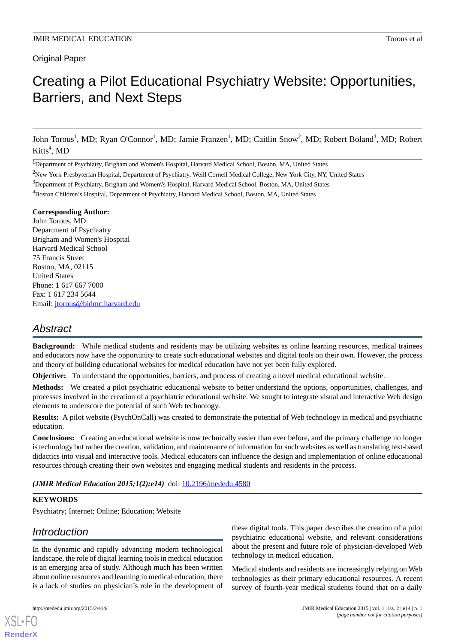# Original Paper

# Creating a Pilot Educational Psychiatry Website: Opportunities, Barriers, and Next Steps

John Torous<sup>1</sup>, MD; Ryan O'Connor<sup>1</sup>, MD; Jamie Franzen<sup>1</sup>, MD; Caitlin Snow<sup>2</sup>, MD; Robert Boland<sup>3</sup>, MD; Robert Kitts<sup>4</sup>, MD

<sup>1</sup>Department of Psychiatry, Brigham and Women's Hospital, Harvard Medical School, Boston, MA, United States

#### **Corresponding Author:**

John Torous, MD Department of Psychiatry Brigham and Women's Hospital Harvard Medical School 75 Francis Street Boston, MA, 02115 United States Phone: 1 617 667 7000 Fax: 1 617 234 5644 Email: [jtorous@bidmc.harvard.edu](mailto:jtorous@bidmc.harvard.edu)

# *Abstract*

**Background:** While medical students and residents may be utilizing websites as online learning resources, medical trainees and educators now have the opportunity to create such educational websites and digital tools on their own. However, the process and theory of building educational websites for medical education have not yet been fully explored.

**Objective:** To understand the opportunities, barriers, and process of creating a novel medical educational website.

**Methods:** We created a pilot psychiatric educational website to better understand the options, opportunities, challenges, and processes involved in the creation of a psychiatric educational website. We sought to integrate visual and interactive Web design elements to underscore the potential of such Web technology.

**Results:** A pilot website (PsychOnCall) was created to demonstrate the potential of Web technology in medical and psychiatric education.

**Conclusions:** Creating an educational website is now technically easier than ever before, and the primary challenge no longer is technology but rather the creation, validation, and maintenance of information for such websites as well as translating text-based didactics into visual and interactive tools. Medical educators can influence the design and implementation of online educational resources through creating their own websites and engaging medical students and residents in the process.

(JMIR Medical Education 2015;1(2):e14) doi: [10.2196/mededu.4580](http://dx.doi.org/10.2196/mededu.4580)

# **KEYWORDS**

Psychiatry; Internet; Online; Education; Website

# *Introduction*

In the dynamic and rapidly advancing modern technological landscape, the role of digital learning tools in medical education is an emerging area of study. Although much has been written about online resources and learning in medical education, there is a lack of studies on physician's role in the development of

[XSL](http://www.w3.org/Style/XSL)•FO **[RenderX](http://www.renderx.com/)**

these digital tools. This paper describes the creation of a pilot psychiatric educational website, and relevant considerations about the present and future role of physician-developed Web technology in medical education.

Medical students and residents are increasingly relying on Web technologies as their primary educational resources. A recent survey of fourth-year medical students found that on a daily

<sup>&</sup>lt;sup>2</sup>New York-Presbyterian Hospital, Department of Psychiatry, Weill Cornell Medical College, New York City, NY, United States

<sup>&</sup>lt;sup>3</sup>Department of Psychiatry, Brigham and Women\'s Hospital, Harvard Medical School, Boston, MA, United States

<sup>4</sup>Boston Children's Hospital, Department of Psychiatry, Harvard Medical School, Boston, MA, United States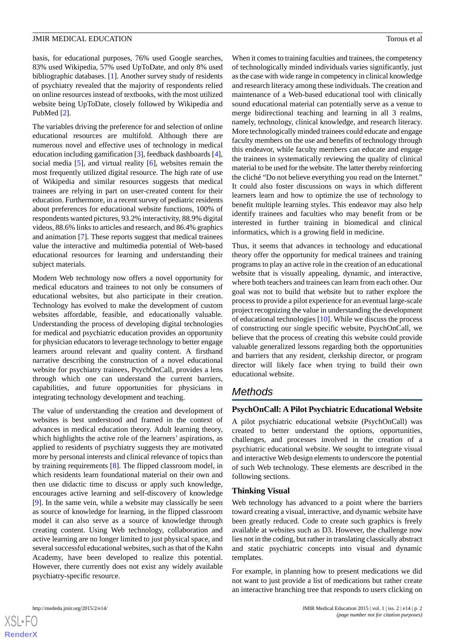basis, for educational purposes, 76% used Google searches, 83% used Wikipedia, 57% used UpToDate, and only 8% used bibliographic databases. [[1\]](#page-6-0). Another survey study of residents of psychiatry revealed that the majority of respondents relied on online resources instead of textbooks, with the most utilized website being UpToDate, closely followed by Wikipedia and PubMed [\[2](#page-6-1)].

The variables driving the preference for and selection of online educational resources are multifold. Although there are numerous novel and effective uses of technology in medical education including gamification [\[3](#page-6-2)], feedback dashboards [[4\]](#page-6-3), social media [[5\]](#page-6-4), and virtual reality [[6](#page-6-5)], websites remain the most frequently utilized digital resource. The high rate of use of Wikipedia and similar resources suggests that medical trainees are relying in part on user-created content for their education. Furthermore, in a recent survey of pediatric residents about preferences for educational website functions, 100% of respondents wanted pictures, 93.2% interactivity, 88.9% digital videos, 88.6% links to articles and research, and 86.4% graphics and animation [[7\]](#page-6-6). These reports suggest that medical trainees value the interactive and multimedia potential of Web-based educational resources for learning and understanding their subject materials.

Modern Web technology now offers a novel opportunity for medical educators and trainees to not only be consumers of educational websites, but also participate in their creation. Technology has evolved to make the development of custom websites affordable, feasible, and educationally valuable. Understanding the process of developing digital technologies for medical and psychiatric education provides an opportunity for physician educators to leverage technology to better engage learners around relevant and quality content. A firsthand narrative describing the construction of a novel educational website for psychiatry trainees, PsychOnCall, provides a lens through which one can understand the current barriers, capabilities, and future opportunities for physicians in integrating technology development and teaching.

The value of understanding the creation and development of websites is best understood and framed in the context of advances in medical education theory. Adult learning theory, which highlights the active role of the learners' aspirations, as applied to residents of psychiatry suggests they are motivated more by personal interests and clinical relevance of topics than by training requirements [\[8](#page-6-7)]. The flipped classroom model, in which residents learn foundational material on their own and then use didactic time to discuss or apply such knowledge, encourages active learning and self-discovery of knowledge [[9\]](#page-6-8). In the same vein, while a website may classically be seen as source of knowledge for learning, in the flipped classroom model it can also serve as a source of knowledge through creating content. Using Web technology, collaboration and active learning are no longer limited to just physical space, and several successful educational websites, such as that of the Kahn Academy, have been developed to realize this potential. However, there currently does not exist any widely available psychiatry-specific resource.

When it comes to training faculties and trainees, the competency of technologically minded individuals varies significantly, just as the case with wide range in competency in clinical knowledge and research literacy among these individuals. The creation and maintenance of a Web-based educational tool with clinically sound educational material can potentially serve as a venue to merge bidirectional teaching and learning in all 3 realms, namely, technology, clinical knowledge, and research literacy. More technologically minded trainees could educate and engage faculty members on the use and benefits of technology through this endeavor, while faculty members can educate and engage the trainees in systematically reviewing the quality of clinical material to be used for the website. The latter thereby reinforcing the cliché "Do not believe everything you read on the Internet." It could also foster discussions on ways in which different learners learn and how to optimize the use of technology to benefit multiple learning styles. This endeavor may also help identify trainees and faculties who may benefit from or be interested in further training in biomedical and clinical informatics, which is a growing field in medicine.

Thus, it seems that advances in technology and educational theory offer the opportunity for medical trainees and training programs to play an active role in the creation of an educational website that is visually appealing, dynamic, and interactive, where both teachers and trainees can learn from each other. Our goal was not to build that website but to rather explore the process to provide a pilot experience for an eventual large-scale project recognizing the value in understanding the development of educational technologies  $[10]$  $[10]$ . While we discuss the process of constructing our single specific website, PsychOnCall, we believe that the process of creating this website could provide valuable generalized lessons regarding both the opportunities and barriers that any resident, clerkship director, or program director will likely face when trying to build their own educational website.

# *Methods*

# **PsychOnCall: A Pilot Psychiatric Educational Website**

A pilot psychiatric educational website (PsychOnCall) was created to better understand the options, opportunities, challenges, and processes involved in the creation of a psychiatric educational website. We sought to integrate visual and interactive Web design elements to underscore the potential of such Web technology. These elements are described in the following sections.

# **Thinking Visual**

Web technology has advanced to a point where the barriers toward creating a visual, interactive, and dynamic website have been greatly reduced. Code to create such graphics is freely available at websites such as D3. However, the challenge now lies not in the coding, but rather in translating classically abstract and static psychiatric concepts into visual and dynamic templates.

For example, in planning how to present medications we did not want to just provide a list of medications but rather create an interactive branching tree that responds to users clicking on



 $XSI - F($ **[RenderX](http://www.renderx.com/)**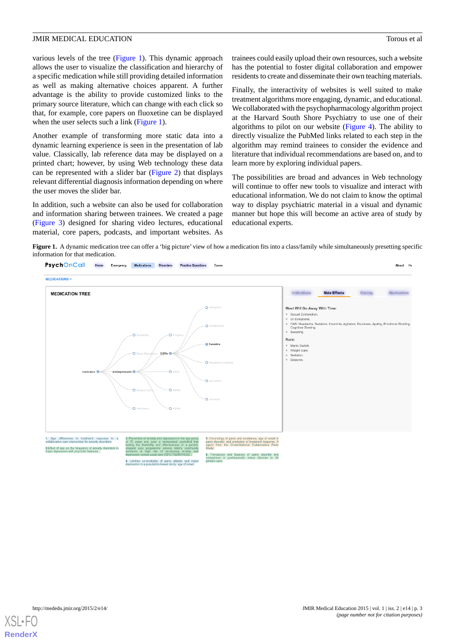various levels of the tree ([Figure 1](#page-2-0)). This dynamic approach allows the user to visualize the classification and hierarchy of a specific medication while still providing detailed information as well as making alternative choices apparent. A further advantage is the ability to provide customized links to the primary source literature, which can change with each click so that, for example, core papers on fluoxetine can be displayed when the user selects such a link ([Figure 1](#page-2-0)).

Another example of transforming more static data into a dynamic learning experience is seen in the presentation of lab value. Classically, lab reference data may be displayed on a printed chart; however, by using Web technology these data can be represented with a slider bar [\(Figure 2](#page-3-0)) that displays relevant differential diagnosis information depending on where the user moves the slider bar.

<span id="page-2-0"></span>In addition, such a website can also be used for collaboration and information sharing between trainees. We created a page ([Figure 3\)](#page-4-0) designed for sharing video lectures, educational material, core papers, podcasts, and important websites. As

trainees could easily upload their own resources, such a website has the potential to foster digital collaboration and empower residents to create and disseminate their own teaching materials.

Finally, the interactivity of websites is well suited to make treatment algorithms more engaging, dynamic, and educational. We collaborated with the psychopharmacology algorithm project at the Harvard South Shore Psychiatry to use one of their algorithms to pilot on our website [\(Figure 4\)](#page-4-1). The ability to directly visualize the PubMed links related to each step in the algorithm may remind trainees to consider the evidence and literature that individual recommendations are based on, and to learn more by exploring individual papers.

The possibilities are broad and advances in Web technology will continue to offer new tools to visualize and interact with educational information. We do not claim to know the optimal way to display psychiatric material in a visual and dynamic manner but hope this will become an active area of study by educational experts.

Figure 1. A dynamic medication tree can offer a 'big picture' view of how a medication fits into a class/family while simultaneously presetting specific information for that medication.



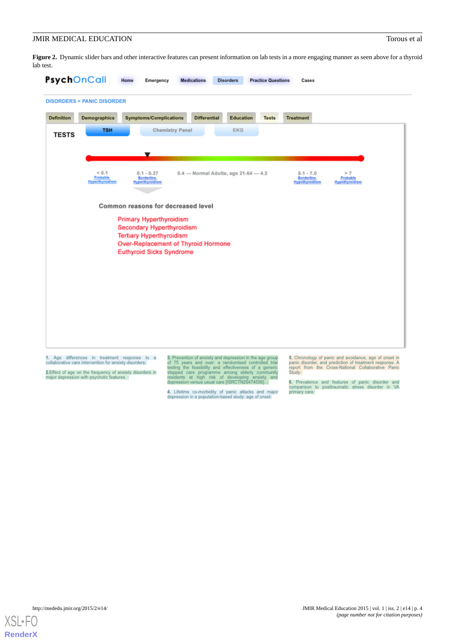<span id="page-3-0"></span>Figure 2. Dynamic slider bars and other interactive features can present information on lab tests in a more engaging manner as seen above for a thyroid lab test.

|                   | <b>DISORDERS &gt; PANIC DISORDER</b>            |                                                                               |                                          |                  |                                                           |                                                |
|-------------------|-------------------------------------------------|-------------------------------------------------------------------------------|------------------------------------------|------------------|-----------------------------------------------------------|------------------------------------------------|
| <b>Definition</b> | <b>Demographics</b>                             | <b>Symptoms/Complications</b>                                                 | <b>Differential</b>                      | <b>Education</b> | <b>Tests</b><br><b>Treatment</b>                          |                                                |
| <b>TESTS</b>      | <b>TSH</b>                                      | <b>Chemistry Panel</b>                                                        |                                          | <b>EKG</b>       |                                                           |                                                |
|                   |                                                 |                                                                               |                                          |                  |                                                           |                                                |
|                   |                                                 | ▼                                                                             |                                          |                  |                                                           |                                                |
|                   | ${}< 0.1$<br>Probable<br><b>Hyperthyroidism</b> | $0.1 - 0.27$<br><b>Borderline</b><br><b>Hyperthyroidism</b>                   | 0.4 --- Normal Adults, age 21-54 --- 4.2 |                  | $5.1 - 7.0$<br><b>Borderline</b><br><b>Hypothyroidism</b> | >7<br><b>Probable</b><br><b>Hypothyroidism</b> |
|                   |                                                 |                                                                               |                                          |                  |                                                           |                                                |
|                   |                                                 | Common reasons for decreased level                                            |                                          |                  |                                                           |                                                |
|                   |                                                 | <b>Primary Hyperthyroidism</b>                                                |                                          |                  |                                                           |                                                |
|                   |                                                 | <b>Secondary Hyperthyroidism</b><br><b>Tertiary Hyperthyroidism</b>           |                                          |                  |                                                           |                                                |
|                   |                                                 | <b>Over-Replacement of Thyroid Hormone</b><br><b>Euthyroid Sicks Syndrome</b> |                                          |                  |                                                           |                                                |
|                   |                                                 |                                                                               |                                          |                  |                                                           |                                                |
|                   |                                                 |                                                                               |                                          |                  |                                                           |                                                |
|                   |                                                 |                                                                               |                                          |                  |                                                           |                                                |
|                   |                                                 |                                                                               |                                          |                  |                                                           |                                                |
|                   |                                                 |                                                                               |                                          |                  |                                                           |                                                |
|                   |                                                 |                                                                               |                                          |                  |                                                           |                                                |

2.Effect of age on the frequency of anxiety disorders in<br>major depression with psychotic features. :

of 75 years and over: a randomised controlled trial<br>testing the feasibility and effectiveness of a generic<br>stepped care programme among elderly community<br>residents at high risk of developing anxiety and<br>depression versus u

4. Lifetime co-morbidity of panic attacks and major<br>depression in a population-based study: age of onset:

can include paint disorder, and prediction of treatment response. A report from the Cross-National Collaborative Panic Study:

6. Prevalence and features of panic disorder and<br>comparison to posttraumatic stress disorder in VA<br>primary.care:

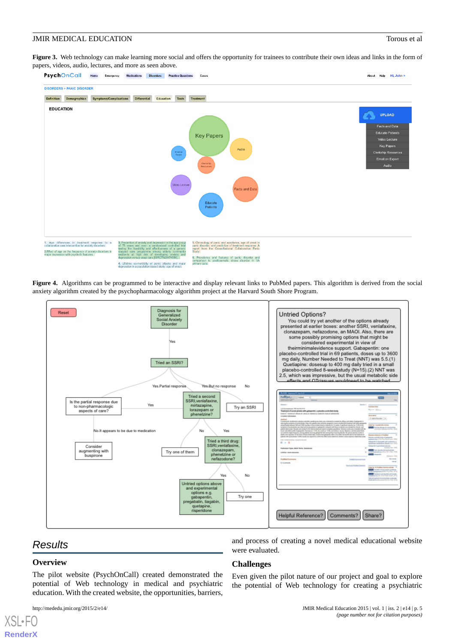<span id="page-4-0"></span>Figure 3. Web technology can make learning more social and offers the opportunity for trainees to contribute their own ideas and links in the form of papers, videos, audio, lectures, and more as seen above.



<span id="page-4-1"></span>**Figure 4.** Algorithms can be programmed to be interactive and display relevant links to PubMed papers. This algorithm is derived from the social anxiety algorithm created by the psychopharmacology algorithm project at the Harvard South Shore Program.



# *Results*

## **Overview**

[XSL](http://www.w3.org/Style/XSL)•FO **[RenderX](http://www.renderx.com/)**

The pilot website (PsychOnCall) created demonstrated the potential of Web technology in medical and psychiatric education. With the created website, the opportunities, barriers,

and process of creating a novel medical educational website were evaluated.

## **Challenges**

Even given the pilot nature of our project and goal to explore the potential of Web technology for creating a psychiatric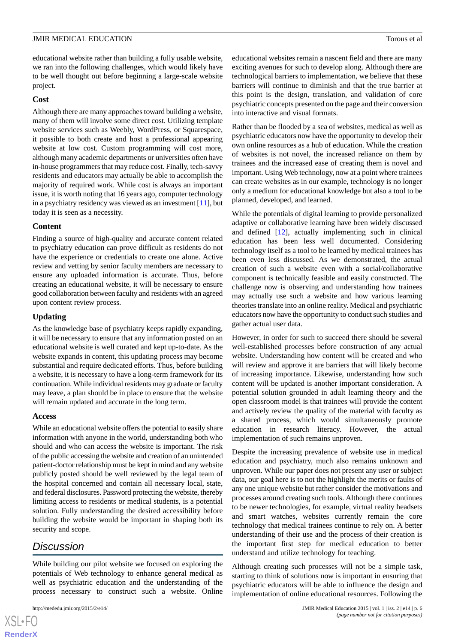educational website rather than building a fully usable website, we ran into the following challenges, which would likely have to be well thought out before beginning a large-scale website project.

#### **Cost**

Although there are many approaches toward building a website, many of them will involve some direct cost. Utilizing template website services such as Weebly, WordPress, or Squarespace, it possible to both create and host a professional appearing website at low cost. Custom programming will cost more, although many academic departments or universities often have in-house programmers that may reduce cost. Finally, tech-savvy residents and educators may actually be able to accomplish the majority of required work. While cost is always an important issue, it is worth noting that 16 years ago, computer technology in a psychiatry residency was viewed as an investment [\[11](#page-6-10)], but today it is seen as a necessity.

## **Content**

Finding a source of high-quality and accurate content related to psychiatry education can prove difficult as residents do not have the experience or credentials to create one alone. Active review and vetting by senior faculty members are necessary to ensure any uploaded information is accurate. Thus, before creating an educational website, it will be necessary to ensure good collaboration between faculty and residents with an agreed upon content review process.

## **Updating**

As the knowledge base of psychiatry keeps rapidly expanding, it will be necessary to ensure that any information posted on an educational website is well curated and kept up-to-date. As the website expands in content, this updating process may become substantial and require dedicated efforts. Thus, before building a website, it is necessary to have a long-term framework for its continuation. While individual residents may graduate or faculty may leave, a plan should be in place to ensure that the website will remain updated and accurate in the long term.

## **Access**

While an educational website offers the potential to easily share information with anyone in the world, understanding both who should and who can access the website is important. The risk of the public accessing the website and creation of an unintended patient-doctor relationship must be kept in mind and any website publicly posted should be well reviewed by the legal team of the hospital concerned and contain all necessary local, state, and federal disclosures. Password protecting the website, thereby limiting access to residents or medical students, is a potential solution. Fully understanding the desired accessibility before building the website would be important in shaping both its security and scope.

# *Discussion*

[XSL](http://www.w3.org/Style/XSL)•FO **[RenderX](http://www.renderx.com/)**

While building our pilot website we focused on exploring the potentials of Web technology to enhance general medical as well as psychiatric education and the understanding of the process necessary to construct such a website. Online

educational websites remain a nascent field and there are many exciting avenues for such to develop along. Although there are technological barriers to implementation, we believe that these barriers will continue to diminish and that the true barrier at this point is the design, translation, and validation of core psychiatric concepts presented on the page and their conversion into interactive and visual formats.

Rather than be flooded by a sea of websites, medical as well as psychiatric educators now have the opportunity to develop their own online resources as a hub of education. While the creation of websites is not novel, the increased reliance on them by trainees and the increased ease of creating them is novel and important. Using Web technology, now at a point where trainees can create websites as in our example, technology is no longer only a medium for educational knowledge but also a tool to be planned, developed, and learned.

While the potentials of digital learning to provide personalized adaptive or collaborative learning have been widely discussed and defined [[12\]](#page-6-11), actually implementing such in clinical education has been less well documented. Considering technology itself as a tool to be learned by medical trainees has been even less discussed. As we demonstrated, the actual creation of such a website even with a social/collaborative component is technically feasible and easily constructed. The challenge now is observing and understanding how trainees may actually use such a website and how various learning theories translate into an online reality. Medical and psychiatric educators now have the opportunity to conduct such studies and gather actual user data.

However, in order for such to succeed there should be several well-established processes before construction of any actual website. Understanding how content will be created and who will review and approve it are barriers that will likely become of increasing importance. Likewise, understanding how such content will be updated is another important consideration. A potential solution grounded in adult learning theory and the open classroom model is that trainees will provide the content and actively review the quality of the material with faculty as a shared process, which would simultaneously promote education in research literacy. However, the actual implementation of such remains unproven.

Despite the increasing prevalence of website use in medical education and psychiatry, much also remains unknown and unproven. While our paper does not present any user or subject data, our goal here is to not the highlight the merits or faults of any one unique website but rather consider the motivations and processes around creating such tools. Although there continues to be newer technologies, for example, virtual reality headsets and smart watches, websites currently remain the core technology that medical trainees continue to rely on. A better understanding of their use and the process of their creation is the important first step for medical education to better understand and utilize technology for teaching.

Although creating such processes will not be a simple task, starting to think of solutions now is important in ensuring that psychiatric educators will be able to influence the design and implementation of online educational resources. Following the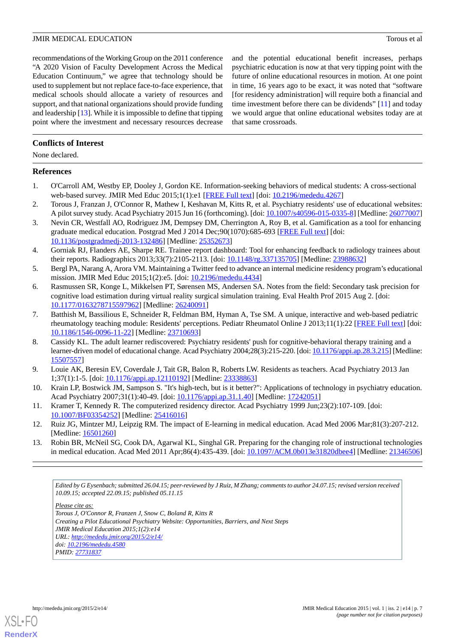recommendations of the Working Group on the 2011 conference "A 2020 Vision of Faculty Development Across the Medical Education Continuum," we agree that technology should be used to supplement but not replace face-to-face experience, that medical schools should allocate a variety of resources and support, and that national organizations should provide funding and leadership [\[13\]](#page-6-12). While it is impossible to define that tipping point where the investment and necessary resources decrease

and the potential educational benefit increases, perhaps psychiatric education is now at that very tipping point with the future of online educational resources in motion. At one point in time, 16 years ago to be exact, it was noted that "software [for residency administration] will require both a financial and time investment before there can be dividends" [[11\]](#page-6-10) and today we would argue that online educational websites today are at that same crossroads.

## **Conflicts of Interest**

None declared.

#### <span id="page-6-0"></span>**References**

- <span id="page-6-1"></span>1. O'Carroll AM, Westby EP, Dooley J, Gordon KE. Information-seeking behaviors of medical students: A cross-sectional web-based survey. JMIR Med Educ 2015;1(1):e1 [\[FREE Full text\]](http://mededu.jmir.org/2015/1/e4/) [doi: [10.2196/mededu.4267](http://dx.doi.org/10.2196/mededu.4267)]
- <span id="page-6-2"></span>2. Torous J, Franzan J, O'Connor R, Mathew I, Keshavan M, Kitts R, et al. Psychiatry residents' use of educational websites: A pilot survey study. Acad Psychiatry 2015 Jun 16 (forthcoming). [doi: [10.1007/s40596-015-0335-8\]](http://dx.doi.org/10.1007/s40596-015-0335-8) [Medline: [26077007](http://www.ncbi.nlm.nih.gov/entrez/query.fcgi?cmd=Retrieve&db=PubMed&list_uids=26077007&dopt=Abstract)]
- <span id="page-6-3"></span>3. Nevin CR, Westfall AO, Rodriguez JM, Dempsey DM, Cherrington A, Roy B, et al. Gamification as a tool for enhancing graduate medical education. Postgrad Med J 2014 Dec;90(1070):685-693 [\[FREE Full text\]](http://europepmc.org/abstract/MED/25352673) [doi: [10.1136/postgradmedj-2013-132486\]](http://dx.doi.org/10.1136/postgradmedj-2013-132486) [Medline: [25352673\]](http://www.ncbi.nlm.nih.gov/entrez/query.fcgi?cmd=Retrieve&db=PubMed&list_uids=25352673&dopt=Abstract)
- <span id="page-6-5"></span><span id="page-6-4"></span>4. Gorniak RJ, Flanders AE, Sharpe RE. Trainee report dashboard: Tool for enhancing feedback to radiology trainees about their reports. Radiographics 2013;33(7):2105-2113. [doi: [10.1148/rg.337135705](http://dx.doi.org/10.1148/rg.337135705)] [Medline: [23988632](http://www.ncbi.nlm.nih.gov/entrez/query.fcgi?cmd=Retrieve&db=PubMed&list_uids=23988632&dopt=Abstract)]
- 5. Bergl PA, Narang A, Arora VM. Maintaining a Twitter feed to advance an internal medicine residency program's educational mission. JMIR Med Educ 2015;1(2):e5. [doi: [10.2196/mededu.4434](http://dx.doi.org/10.2196/mededu.4434)]
- <span id="page-6-6"></span>6. Rasmussen SR, Konge L, Mikkelsen PT, Sørensen MS, Andersen SA. Notes from the field: Secondary task precision for cognitive load estimation during virtual reality surgical simulation training. Eval Health Prof 2015 Aug 2. [doi: [10.1177/0163278715597962\]](http://dx.doi.org/10.1177/0163278715597962) [Medline: [26240091\]](http://www.ncbi.nlm.nih.gov/entrez/query.fcgi?cmd=Retrieve&db=PubMed&list_uids=26240091&dopt=Abstract)
- <span id="page-6-7"></span>7. Batthish M, Bassilious E, Schneider R, Feldman BM, Hyman A, Tse SM. A unique, interactive and web-based pediatric rheumatology teaching module: Residents' perceptions. Pediatr Rheumatol Online J 2013;11(1):22 [[FREE Full text](http://www.ped-rheum.com/content/11/1/22)] [doi: [10.1186/1546-0096-11-22\]](http://dx.doi.org/10.1186/1546-0096-11-22) [Medline: [23710693\]](http://www.ncbi.nlm.nih.gov/entrez/query.fcgi?cmd=Retrieve&db=PubMed&list_uids=23710693&dopt=Abstract)
- <span id="page-6-9"></span><span id="page-6-8"></span>8. Cassidy KL. The adult learner rediscovered: Psychiatry residents' push for cognitive-behavioral therapy training and a learner-driven model of educational change. Acad Psychiatry 2004;28(3):215-220. [doi: [10.1176/appi.ap.28.3.215\]](http://dx.doi.org/10.1176/appi.ap.28.3.215) [Medline: [15507557](http://www.ncbi.nlm.nih.gov/entrez/query.fcgi?cmd=Retrieve&db=PubMed&list_uids=15507557&dopt=Abstract)]
- <span id="page-6-10"></span>9. Louie AK, Beresin EV, Coverdale J, Tait GR, Balon R, Roberts LW. Residents as teachers. Acad Psychiatry 2013 Jan 1;37(1):1-5. [doi: [10.1176/appi.ap.12110192](http://dx.doi.org/10.1176/appi.ap.12110192)] [Medline: [23338863](http://www.ncbi.nlm.nih.gov/entrez/query.fcgi?cmd=Retrieve&db=PubMed&list_uids=23338863&dopt=Abstract)]
- <span id="page-6-11"></span>10. Krain LP, Bostwick JM, Sampson S. "It's high-tech, but is it better?": Applications of technology in psychiatry education. Acad Psychiatry 2007;31(1):40-49. [doi: [10.1176/appi.ap.31.1.40\]](http://dx.doi.org/10.1176/appi.ap.31.1.40) [Medline: [17242051](http://www.ncbi.nlm.nih.gov/entrez/query.fcgi?cmd=Retrieve&db=PubMed&list_uids=17242051&dopt=Abstract)]
- <span id="page-6-12"></span>11. Kramer T, Kennedy R. The computerized residency director. Acad Psychiatry 1999 Jun;23(2):107-109. [doi: [10.1007/BF03354252](http://dx.doi.org/10.1007/BF03354252)] [Medline: [25416016\]](http://www.ncbi.nlm.nih.gov/entrez/query.fcgi?cmd=Retrieve&db=PubMed&list_uids=25416016&dopt=Abstract)
- 12. Ruiz JG, Mintzer MJ, Leipzig RM. The impact of E-learning in medical education. Acad Med 2006 Mar;81(3):207-212. [Medline: [16501260](http://www.ncbi.nlm.nih.gov/entrez/query.fcgi?cmd=Retrieve&db=PubMed&list_uids=16501260&dopt=Abstract)]
- 13. Robin BR, McNeil SG, Cook DA, Agarwal KL, Singhal GR. Preparing for the changing role of instructional technologies in medical education. Acad Med 2011 Apr;86(4):435-439. [doi: [10.1097/ACM.0b013e31820dbee4\]](http://dx.doi.org/10.1097/ACM.0b013e31820dbee4) [Medline: [21346506](http://www.ncbi.nlm.nih.gov/entrez/query.fcgi?cmd=Retrieve&db=PubMed&list_uids=21346506&dopt=Abstract)]

*Edited by G Eysenbach; submitted 26.04.15; peer-reviewed by J Ruiz, M Zhang; comments to author 24.07.15; revised version received 10.09.15; accepted 22.09.15; published 05.11.15*

*Please cite as:*

*Torous J, O'Connor R, Franzen J, Snow C, Boland R, Kitts R Creating a Pilot Educational Psychiatry Website: Opportunities, Barriers, and Next Steps JMIR Medical Education 2015;1(2):e14 URL: <http://mededu.jmir.org/2015/2/e14/> doi: [10.2196/mededu.4580](http://dx.doi.org/10.2196/mededu.4580) PMID: [27731837](http://www.ncbi.nlm.nih.gov/entrez/query.fcgi?cmd=Retrieve&db=PubMed&list_uids=27731837&dopt=Abstract)*

[XSL](http://www.w3.org/Style/XSL)•FO **[RenderX](http://www.renderx.com/)**